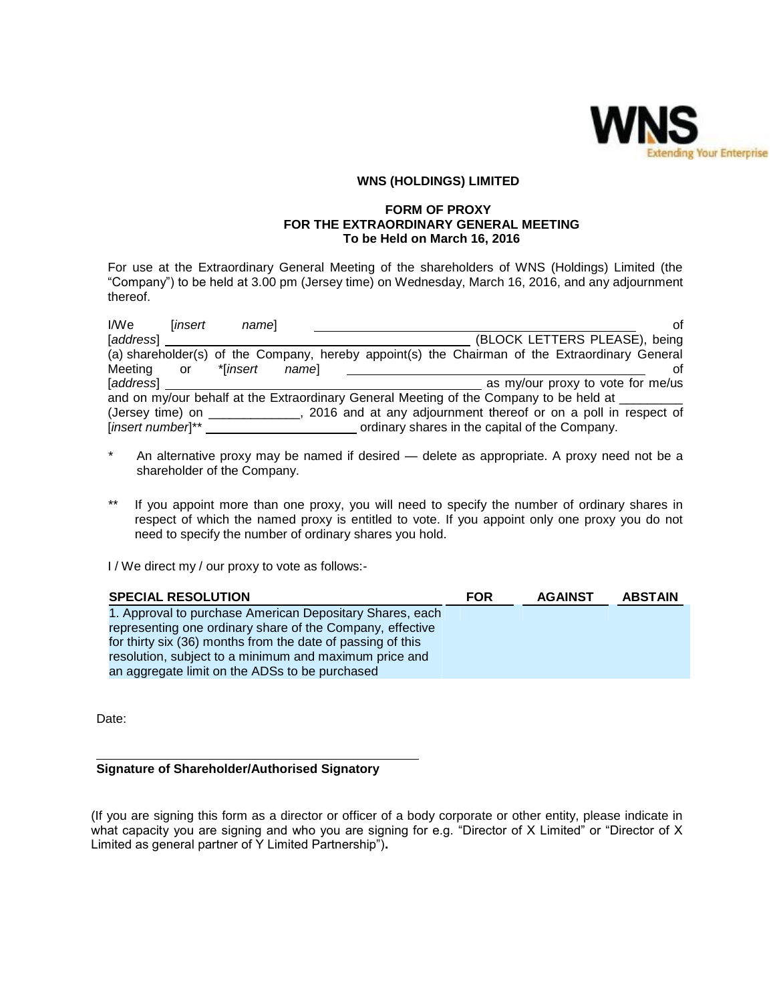

# **WNS (HOLDINGS) LIMITED**

### **FORM OF PROXY FOR THE EXTRAORDINARY GENERAL MEETING To be Held on March 16, 2016**

For use at the Extraordinary General Meeting of the shareholders of WNS (Holdings) Limited (the "Company") to be held at 3.00 pm (Jersey time) on Wednesday, March 16, 2016, and any adjournment thereof.

| I/We              | linsert | namel             | Ωf                                                                                             |
|-------------------|---------|-------------------|------------------------------------------------------------------------------------------------|
| [address]         |         |                   | (BLOCK LETTERS PLEASE), being                                                                  |
|                   |         |                   | (a) shareholder(s) of the Company, hereby appoint(s) the Chairman of the Extraordinary General |
| Meeting           | or      | *linsert<br>namel | οt                                                                                             |
| [address]         |         |                   | as my/our proxy to vote for me/us                                                              |
|                   |         |                   | and on my/our behalf at the Extraordinary General Meeting of the Company to be held at         |
| (Jersey time) on  |         |                   | 2016 and at any adjournment thereof or on a poll in respect of                                 |
| [insert number]** |         |                   | ordinary shares in the capital of the Company.                                                 |

- \* An alternative proxy may be named if desired delete as appropriate. A proxy need not be a shareholder of the Company.
- \*\* If you appoint more than one proxy, you will need to specify the number of ordinary shares in respect of which the named proxy is entitled to vote. If you appoint only one proxy you do not need to specify the number of ordinary shares you hold.

I / We direct my / our proxy to vote as follows:-

| <b>SPECIAL RESOLUTION</b>                                   | <b>FOR</b> | <b>AGAINST</b> | <b>ABSTAIN</b> |
|-------------------------------------------------------------|------------|----------------|----------------|
| 1. Approval to purchase American Depositary Shares, each    |            |                |                |
| representing one ordinary share of the Company, effective   |            |                |                |
| for thirty six (36) months from the date of passing of this |            |                |                |
| resolution, subject to a minimum and maximum price and      |            |                |                |
| an aggregate limit on the ADSs to be purchased              |            |                |                |

Date:

# **Signature of Shareholder/Authorised Signatory**

(If you are signing this form as a director or officer of a body corporate or other entity, please indicate in what capacity you are signing and who you are signing for e.g. "Director of X Limited" or "Director of X Limited as general partner of Y Limited Partnership")**.**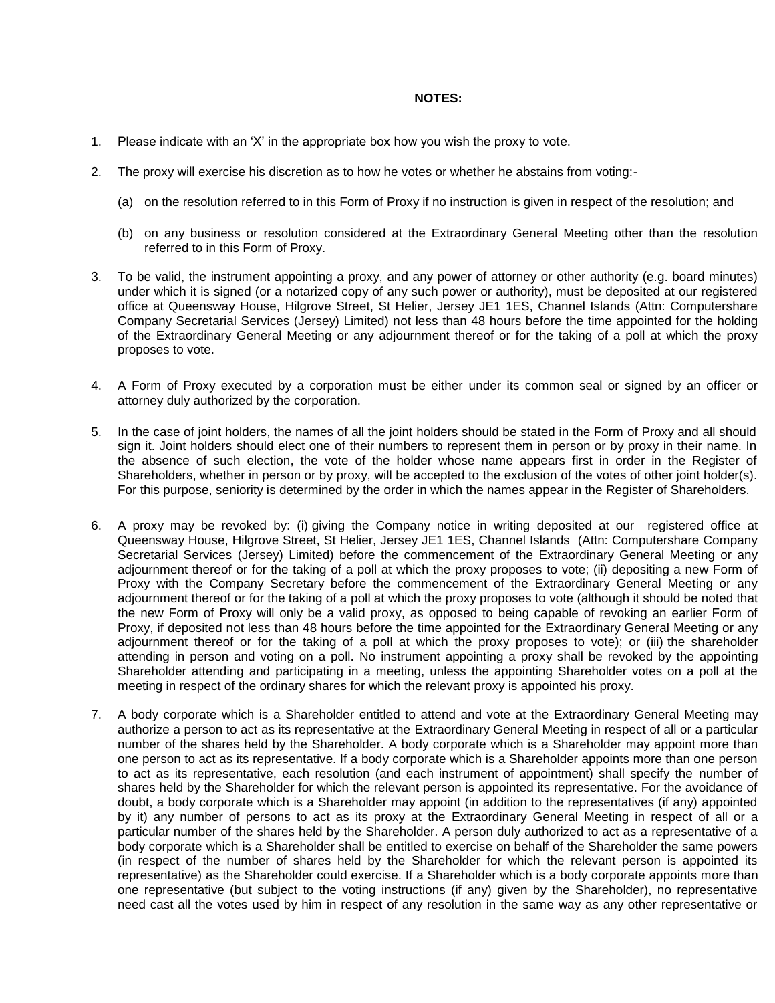#### **NOTES:**

- 1. Please indicate with an "X" in the appropriate box how you wish the proxy to vote.
- 2. The proxy will exercise his discretion as to how he votes or whether he abstains from voting:-
	- (a) on the resolution referred to in this Form of Proxy if no instruction is given in respect of the resolution; and
	- (b) on any business or resolution considered at the Extraordinary General Meeting other than the resolution referred to in this Form of Proxy.
- 3. To be valid, the instrument appointing a proxy, and any power of attorney or other authority (e.g. board minutes) under which it is signed (or a notarized copy of any such power or authority), must be deposited at our registered office at Queensway House, Hilgrove Street, St Helier, Jersey JE1 1ES, Channel Islands (Attn: Computershare Company Secretarial Services (Jersey) Limited) not less than 48 hours before the time appointed for the holding of the Extraordinary General Meeting or any adjournment thereof or for the taking of a poll at which the proxy proposes to vote.
- 4. A Form of Proxy executed by a corporation must be either under its common seal or signed by an officer or attorney duly authorized by the corporation.
- 5. In the case of joint holders, the names of all the joint holders should be stated in the Form of Proxy and all should sign it. Joint holders should elect one of their numbers to represent them in person or by proxy in their name. In the absence of such election, the vote of the holder whose name appears first in order in the Register of Shareholders, whether in person or by proxy, will be accepted to the exclusion of the votes of other joint holder(s). For this purpose, seniority is determined by the order in which the names appear in the Register of Shareholders.
- 6. A proxy may be revoked by: (i) giving the Company notice in writing deposited at our registered office at Queensway House, Hilgrove Street, St Helier, Jersey JE1 1ES, Channel Islands (Attn: Computershare Company Secretarial Services (Jersey) Limited) before the commencement of the Extraordinary General Meeting or any adjournment thereof or for the taking of a poll at which the proxy proposes to vote; (ii) depositing a new Form of Proxy with the Company Secretary before the commencement of the Extraordinary General Meeting or any adjournment thereof or for the taking of a poll at which the proxy proposes to vote (although it should be noted that the new Form of Proxy will only be a valid proxy, as opposed to being capable of revoking an earlier Form of Proxy, if deposited not less than 48 hours before the time appointed for the Extraordinary General Meeting or any adjournment thereof or for the taking of a poll at which the proxy proposes to vote); or (iii) the shareholder attending in person and voting on a poll. No instrument appointing a proxy shall be revoked by the appointing Shareholder attending and participating in a meeting, unless the appointing Shareholder votes on a poll at the meeting in respect of the ordinary shares for which the relevant proxy is appointed his proxy.
- 7. A body corporate which is a Shareholder entitled to attend and vote at the Extraordinary General Meeting may authorize a person to act as its representative at the Extraordinary General Meeting in respect of all or a particular number of the shares held by the Shareholder. A body corporate which is a Shareholder may appoint more than one person to act as its representative. If a body corporate which is a Shareholder appoints more than one person to act as its representative, each resolution (and each instrument of appointment) shall specify the number of shares held by the Shareholder for which the relevant person is appointed its representative. For the avoidance of doubt, a body corporate which is a Shareholder may appoint (in addition to the representatives (if any) appointed by it) any number of persons to act as its proxy at the Extraordinary General Meeting in respect of all or a particular number of the shares held by the Shareholder. A person duly authorized to act as a representative of a body corporate which is a Shareholder shall be entitled to exercise on behalf of the Shareholder the same powers (in respect of the number of shares held by the Shareholder for which the relevant person is appointed its representative) as the Shareholder could exercise. If a Shareholder which is a body corporate appoints more than one representative (but subject to the voting instructions (if any) given by the Shareholder), no representative need cast all the votes used by him in respect of any resolution in the same way as any other representative or